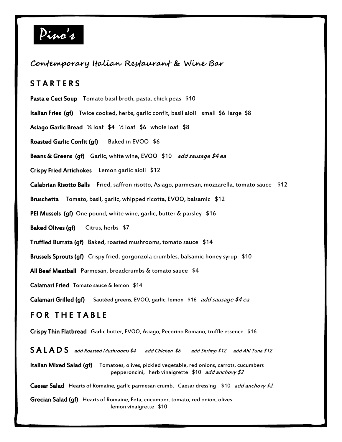

## **Contemporary Italian Restaurant & Wine Bar**

## **STARTERS**

- Pasta e Ceci Soup Tomato basil broth, pasta, chick peas \$10
- Italian Fries (gf) Twice cooked, herbs, garlic confit, basil aioli small \$6 large \$8
- Asiago Garlic Bread ¼ loaf \$4 ½ loaf \$6 whole loaf \$8
- Roasted Garlic Confit (qf) Baked in EVOO \$6
- Beans & Greens (gf) Garlic, white wine, EVOO \$10 add sausage \$4 ea
- Crispy Fried Artichokes Lemon garlic aioli \$12
- Calabrian Risotto Balls Fried, saffron risotto, Asiago, parmesan, mozzarella, tomato sauce \$12
- Bruschetta Tomato, basil, garlic, whipped ricotta, EVOO, balsamic \$12
- PEI Mussels (gf) One pound, white wine, garlic, butter & parsley \$16
- Baked Olives (qf) Citrus, herbs \$7
- Truffled Burrata (gf) Baked, roasted mushrooms, tomato sauce \$14
- Brussels Sprouts (gf) Crispy fried, gorgonzola crumbles, balsamic honey syrup \$10
- All Beef Meatball Parmesan, breadcrumbs & tomato sauce \$4
- Calamari Fried Tomato sauce & lemon \$14
- Calamari Grilled (gf) Sautéed greens, EVOO, garlic, lemon \$16 add sausage \$4 ea

## FOR THE TABLE

- Crispy Thin Flatbread Garlic butter, EVOO, Asiago, Pecorino Romano, truffle essence \$16
- S A L A D S add Roasted Mushrooms \$4 add Chicken \$6 add Shrimp \$12 add Ahi Tuna \$12 Italian Mixed Salad (qf) Tomatoes, olives, pickled vegetable, red onions, carrots, cucumbers pepperoncini, herb vinaigrette \$10 *add anchovy \$2* Caesar Salad Hearts of Romaine, garlic parmesan crumb, Caesar dressing \$10 *add anchovy \$2*
- Grecian Salad (gf) Hearts of Romaine, Feta, cucumber, tomato, red onion, olives lemon vinaigrette \$10